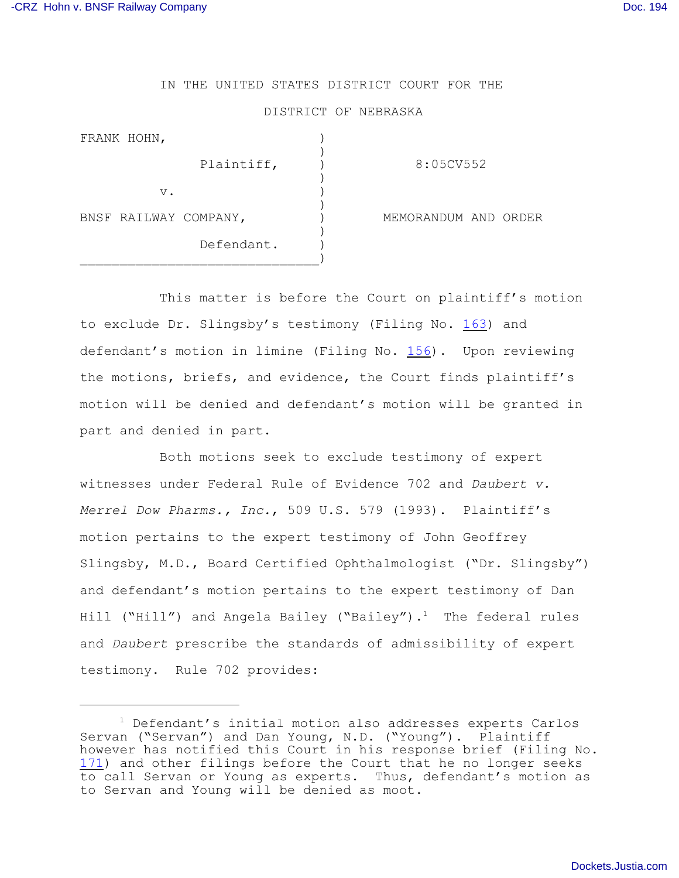## IN THE UNITED STATES DISTRICT COURT FOR THE

## DISTRICT OF NEBRASKA

| FRANK HOHN,           |            |                      |
|-----------------------|------------|----------------------|
|                       | Plaintiff, | 8:05CV552            |
| $V$ .                 |            |                      |
| BNSF RAILWAY COMPANY, |            | MEMORANDUM AND ORDER |
|                       | Defendant. |                      |
|                       |            |                      |

This matter is before the Court on plaintiff's motion to exclude Dr. Slingsby's testimony (Filing No. [163](http://ecf.ned.uscourts.gov/doc1/11302110791)) and defendant's motion in limine (Filing No. [156](http://ecf.ned.uscourts.gov/doc1/11302110663)). Upon reviewing the motions, briefs, and evidence, the Court finds plaintiff's motion will be denied and defendant's motion will be granted in part and denied in part.

Both motions seek to exclude testimony of expert witnesses under Federal Rule of Evidence 702 and *Daubert v. Merrel Dow Pharms., Inc.*, 509 U.S. 579 (1993). Plaintiff's motion pertains to the expert testimony of John Geoffrey Slingsby, M.D., Board Certified Ophthalmologist ("Dr. Slingsby") and defendant's motion pertains to the expert testimony of Dan Hill ("Hill") and Angela Bailey ("Bailey").<sup>1</sup> The federal rules and *Daubert* prescribe the standards of admissibility of expert testimony. Rule 702 provides:

 $1$  Defendant's initial motion also addresses experts Carlos Servan ("Servan") and Dan Young, N.D. ("Young"). Plaintiff however has notified this Court in his response brief (Filing No. [171](http://ecf.ned.uscourts.gov/doc1/11302120984)) and other filings before the Court that he no longer seeks to call Servan or Young as experts. Thus, defendant's motion as to Servan and Young will be denied as moot.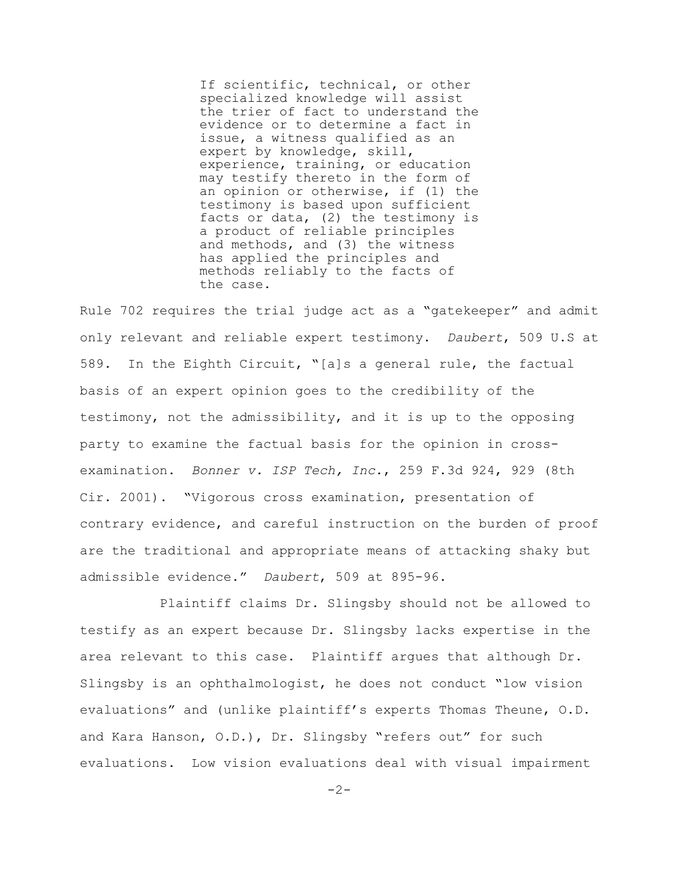If scientific, technical, or other specialized knowledge will assist the trier of fact to understand the evidence or to determine a fact in issue, a witness qualified as an expert by knowledge, skill, experience, training, or education may testify thereto in the form of an opinion or otherwise, if (1) the testimony is based upon sufficient facts or data, (2) the testimony is a product of reliable principles and methods, and (3) the witness has applied the principles and methods reliably to the facts of the case.

Rule 702 requires the trial judge act as a "gatekeeper" and admit only relevant and reliable expert testimony. *Daubert*, 509 U.S at 589. In the Eighth Circuit, "[a]s a general rule, the factual basis of an expert opinion goes to the credibility of the testimony, not the admissibility, and it is up to the opposing party to examine the factual basis for the opinion in crossexamination. *Bonner v. ISP Tech, Inc.*, 259 F.3d 924, 929 (8th Cir. 2001). "Vigorous cross examination, presentation of contrary evidence, and careful instruction on the burden of proof are the traditional and appropriate means of attacking shaky but admissible evidence." *Daubert*, 509 at 895-96.

Plaintiff claims Dr. Slingsby should not be allowed to testify as an expert because Dr. Slingsby lacks expertise in the area relevant to this case. Plaintiff argues that although Dr. Slingsby is an ophthalmologist, he does not conduct "low vision evaluations" and (unlike plaintiff's experts Thomas Theune, O.D. and Kara Hanson, O.D.), Dr. Slingsby "refers out" for such evaluations. Low vision evaluations deal with visual impairment

 $-2-$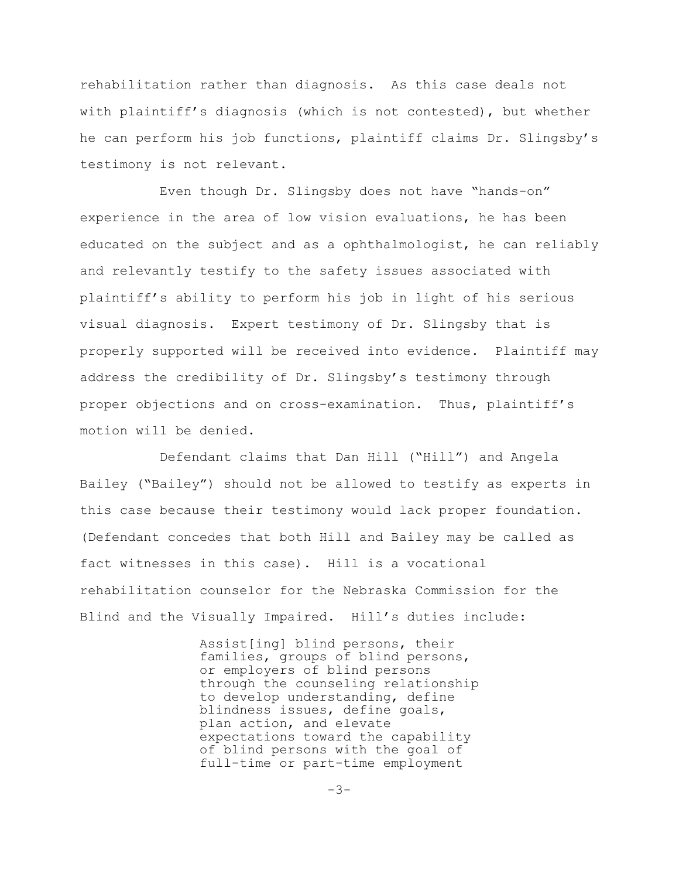rehabilitation rather than diagnosis. As this case deals not with plaintiff's diagnosis (which is not contested), but whether he can perform his job functions, plaintiff claims Dr. Slingsby's testimony is not relevant.

Even though Dr. Slingsby does not have "hands-on" experience in the area of low vision evaluations, he has been educated on the subject and as a ophthalmologist, he can reliably and relevantly testify to the safety issues associated with plaintiff's ability to perform his job in light of his serious visual diagnosis. Expert testimony of Dr. Slingsby that is properly supported will be received into evidence. Plaintiff may address the credibility of Dr. Slingsby's testimony through proper objections and on cross-examination. Thus, plaintiff's motion will be denied.

Defendant claims that Dan Hill ("Hill") and Angela Bailey ("Bailey") should not be allowed to testify as experts in this case because their testimony would lack proper foundation. (Defendant concedes that both Hill and Bailey may be called as fact witnesses in this case). Hill is a vocational rehabilitation counselor for the Nebraska Commission for the Blind and the Visually Impaired. Hill's duties include:

> Assist[ing] blind persons, their families, groups of blind persons, or employers of blind persons through the counseling relationship to develop understanding, define blindness issues, define goals, plan action, and elevate expectations toward the capability of blind persons with the goal of full-time or part-time employment

> > $-3-$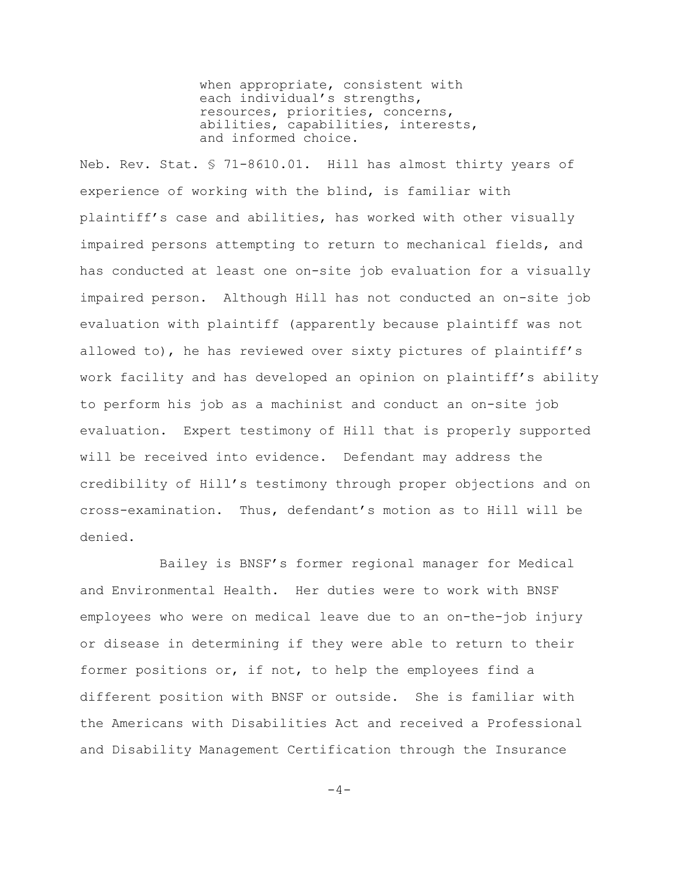when appropriate, consistent with each individual's strengths, resources, priorities, concerns, abilities, capabilities, interests, and informed choice.

Neb. Rev. Stat. § 71-8610.01. Hill has almost thirty years of experience of working with the blind, is familiar with plaintiff's case and abilities, has worked with other visually impaired persons attempting to return to mechanical fields, and has conducted at least one on-site job evaluation for a visually impaired person. Although Hill has not conducted an on-site job evaluation with plaintiff (apparently because plaintiff was not allowed to), he has reviewed over sixty pictures of plaintiff's work facility and has developed an opinion on plaintiff's ability to perform his job as a machinist and conduct an on-site job evaluation. Expert testimony of Hill that is properly supported will be received into evidence. Defendant may address the credibility of Hill's testimony through proper objections and on cross-examination. Thus, defendant's motion as to Hill will be denied.

Bailey is BNSF's former regional manager for Medical and Environmental Health. Her duties were to work with BNSF employees who were on medical leave due to an on-the-job injury or disease in determining if they were able to return to their former positions or, if not, to help the employees find a different position with BNSF or outside. She is familiar with the Americans with Disabilities Act and received a Professional and Disability Management Certification through the Insurance

 $-4-$